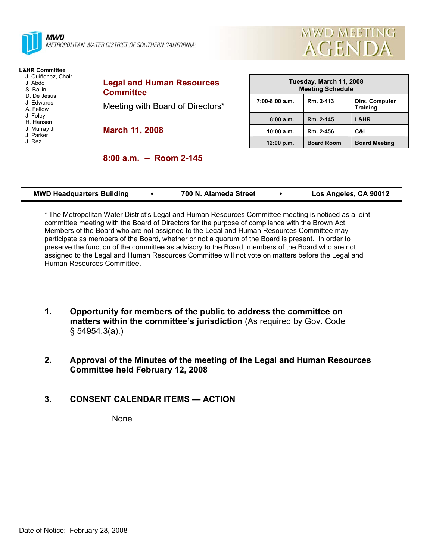

METROPOLITAN WATER DISTRICT OF SOUTHERN CALIFORNIA

# **L&HR Committee**

- J. Quiñonez, Chair J. Abdo
- S. Ballin
- D. De Jesus
- J. Edwards
- A. Fellow J. Foley
- H. Hansen
- J. Murray Jr.
- J. Parker
- J. Rez

**Legal and Human Resources Committee**  Meeting with Board of Directors\* **March 11, 2008** 

| Tuesday, March 11, 2008<br><b>Meeting Schedule</b> |                   |                                   |  |  |
|----------------------------------------------------|-------------------|-----------------------------------|--|--|
| $7:00-8:00$ a.m.                                   | Rm. 2-413         | Dirs. Computer<br><b>Training</b> |  |  |
| 8:00a.m.                                           | Rm. 2-145         | <b>L&amp;HR</b>                   |  |  |
| 10:00 a.m.                                         | Rm. 2-456         | C&L                               |  |  |
| 12:00 p.m.                                         | <b>Board Room</b> | <b>Board Meeting</b>              |  |  |

**MWD MEETING** 

**AGENDA** 

| 8:00 a.m. -- Room 2-145 |  |  |  |
|-------------------------|--|--|--|
|-------------------------|--|--|--|

| <b>MWD Headquarters Building</b> | 700 N. Alameda Street |  | Los Angeles, CA 90012 |
|----------------------------------|-----------------------|--|-----------------------|
|----------------------------------|-----------------------|--|-----------------------|

\* The Metropolitan Water District's Legal and Human Resources Committee meeting is noticed as a joint committee meeting with the Board of Directors for the purpose of compliance with the Brown Act. Members of the Board who are not assigned to the Legal and Human Resources Committee may participate as members of the Board, whether or not a quorum of the Board is present. In order to preserve the function of the committee as advisory to the Board, members of the Board who are not assigned to the Legal and Human Resources Committee will not vote on matters before the Legal and Human Resources Committee.

- **1. Opportunity for members of the public to address the committee on matters within the committee's jurisdiction** (As required by Gov. Code § 54954.3(a).)
- **2. Approval of the Minutes of the meeting of the Legal and Human Resources Committee held February 12, 2008**

#### **3. CONSENT CALENDAR ITEMS — ACTION**

None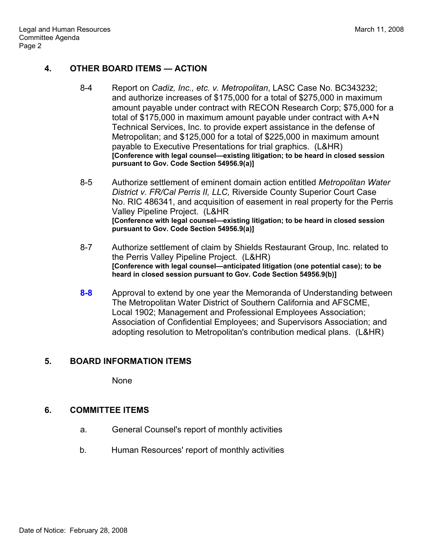### **4. OTHER BOARD ITEMS — ACTION**

- 8-4 Report on *Cadiz, Inc., etc. v. Metropolitan*, LASC Case No. BC343232; and authorize increases of \$175,000 for a total of \$275,000 in maximum amount payable under contract with RECON Research Corp; \$75,000 for a total of \$175,000 in maximum amount payable under contract with A+N Technical Services, Inc. to provide expert assistance in the defense of Metropolitan; and \$125,000 for a total of \$225,000 in maximum amount payable to Executive Presentations for trial graphics. (L&HR) **[Conference with legal counsel—existing litigation; to be heard in closed session pursuant to Gov. Code Section 54956.9(a)]**
- 8-5 Authorize settlement of eminent domain action entitled *Metropolitan Water District v. FR/Cal Perris II, LLC,* Riverside County Superior Court Case No. RIC 486341, and acquisition of easement in real property for the Perris Valley Pipeline Project. (L&HR **[Conference with legal counsel—existing litigation; to be heard in closed session pursuant to Gov. Code Section 54956.9(a)]**
- 8-7 Authorize settlement of claim by Shields Restaurant Group, Inc. related to the Perris Valley Pipeline Project. (L&HR) **[Conference with legal counsel—anticipated litigation (one potential case); to be heard in closed session pursuant to Gov. Code Section 54956.9(b)]**
- **8-8** Approval to extend by one year the Memoranda of Understanding between The Metropolitan Water District of Southern California and AFSCME, Local 1902; Management and Professional Employees Association; Association of Confidential Employees; and Supervisors Association; and adopting resolution to Metropolitan's contribution medical plans. (L&HR)

#### **5. BOARD INFORMATION ITEMS**

None

#### **6. COMMITTEE ITEMS**

- a. General Counsel's report of monthly activities
- b. Human Resources' report of monthly activities